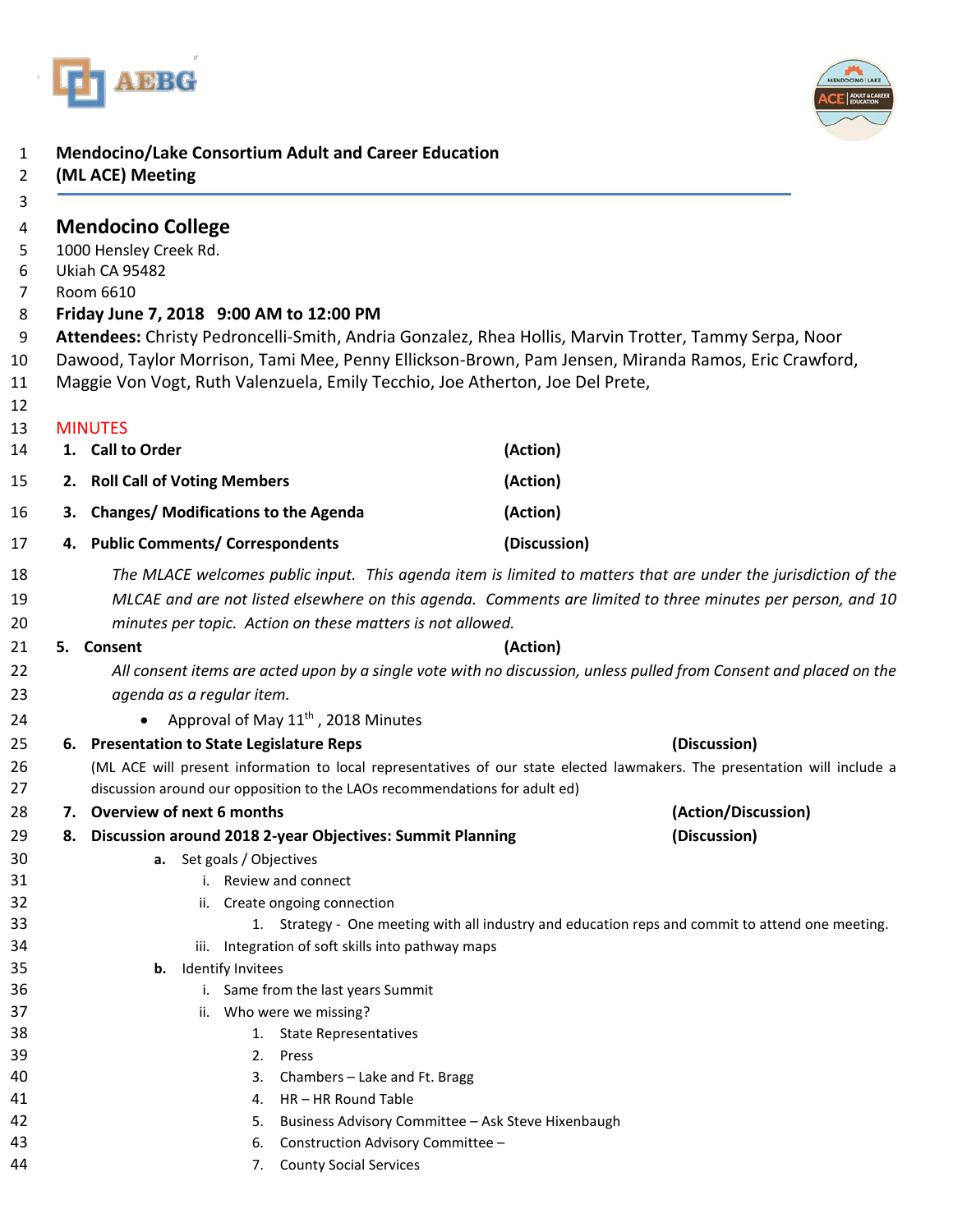



## **Mendocino/Lake Consortium Adult and Career Education**

|    | (ML ACE) Meeting                                                                                                                                                                                                                                                                              |                                                                                                                           |
|----|-----------------------------------------------------------------------------------------------------------------------------------------------------------------------------------------------------------------------------------------------------------------------------------------------|---------------------------------------------------------------------------------------------------------------------------|
|    | <b>Mendocino College</b>                                                                                                                                                                                                                                                                      |                                                                                                                           |
|    | 1000 Hensley Creek Rd.                                                                                                                                                                                                                                                                        |                                                                                                                           |
|    | Ukiah CA 95482                                                                                                                                                                                                                                                                                |                                                                                                                           |
|    | Room 6610                                                                                                                                                                                                                                                                                     |                                                                                                                           |
|    | Friday June 7, 2018 9:00 AM to 12:00 PM                                                                                                                                                                                                                                                       |                                                                                                                           |
|    | Attendees: Christy Pedroncelli-Smith, Andria Gonzalez, Rhea Hollis, Marvin Trotter, Tammy Serpa, Noor<br>Dawood, Taylor Morrison, Tami Mee, Penny Ellickson-Brown, Pam Jensen, Miranda Ramos, Eric Crawford,<br>Maggie Von Vogt, Ruth Valenzuela, Emily Tecchio, Joe Atherton, Joe Del Prete, |                                                                                                                           |
|    | <b>MINUTES</b>                                                                                                                                                                                                                                                                                |                                                                                                                           |
|    | 1. Call to Order                                                                                                                                                                                                                                                                              | (Action)                                                                                                                  |
|    | 2. Roll Call of Voting Members                                                                                                                                                                                                                                                                | (Action)                                                                                                                  |
| З. | <b>Changes/ Modifications to the Agenda</b>                                                                                                                                                                                                                                                   | (Action)                                                                                                                  |
|    | 4. Public Comments/ Correspondents                                                                                                                                                                                                                                                            | (Discussion)                                                                                                              |
|    |                                                                                                                                                                                                                                                                                               | The MLACE welcomes public input. This agenda item is limited to matters that are under the jurisdiction of the            |
|    |                                                                                                                                                                                                                                                                                               | MLCAE and are not listed elsewhere on this agenda. Comments are limited to three minutes per person, and 10               |
|    | minutes per topic. Action on these matters is not allowed.                                                                                                                                                                                                                                    |                                                                                                                           |
|    | 5. Consent                                                                                                                                                                                                                                                                                    | (Action)                                                                                                                  |
|    |                                                                                                                                                                                                                                                                                               | All consent items are acted upon by a single vote with no discussion, unless pulled from Consent and placed on the        |
|    | agenda as a regular item.                                                                                                                                                                                                                                                                     |                                                                                                                           |
|    | Approval of May 11 <sup>th</sup> , 2018 Minutes                                                                                                                                                                                                                                               |                                                                                                                           |
|    | 6. Presentation to State Legislature Reps                                                                                                                                                                                                                                                     | (Discussion)                                                                                                              |
|    |                                                                                                                                                                                                                                                                                               | (ML ACE will present information to local representatives of our state elected lawmakers. The presentation will include a |
|    | discussion around our opposition to the LAOs recommendations for adult ed)                                                                                                                                                                                                                    |                                                                                                                           |
|    | 7. Overview of next 6 months                                                                                                                                                                                                                                                                  | (Action/Discussion)                                                                                                       |
|    | 8. Discussion around 2018 2-year Objectives: Summit Planning                                                                                                                                                                                                                                  | (Discussion)                                                                                                              |
|    | <b>a.</b> Set goals / Objectives                                                                                                                                                                                                                                                              |                                                                                                                           |
|    | i. Review and connect                                                                                                                                                                                                                                                                         |                                                                                                                           |
|    | ii. Create ongoing connection                                                                                                                                                                                                                                                                 |                                                                                                                           |
|    |                                                                                                                                                                                                                                                                                               | 1. Strategy - One meeting with all industry and education reps and commit to attend one meeting.                          |
|    | iii. Integration of soft skills into pathway maps                                                                                                                                                                                                                                             |                                                                                                                           |
|    | Identify Invitees<br>b.                                                                                                                                                                                                                                                                       |                                                                                                                           |
|    | i. Same from the last years Summit                                                                                                                                                                                                                                                            |                                                                                                                           |
|    | Who were we missing?<br>ii.<br><b>State Representatives</b>                                                                                                                                                                                                                                   |                                                                                                                           |
|    | 1.<br>Press<br>2.                                                                                                                                                                                                                                                                             |                                                                                                                           |
|    | 3.<br>Chambers - Lake and Ft. Bragg                                                                                                                                                                                                                                                           |                                                                                                                           |
|    | HR-HR Round Table<br>4.                                                                                                                                                                                                                                                                       |                                                                                                                           |
|    | Business Advisory Committee - Ask Steve Hixenbaugh<br>5.                                                                                                                                                                                                                                      |                                                                                                                           |
|    | Construction Advisory Committee -<br>6.                                                                                                                                                                                                                                                       |                                                                                                                           |
|    | <b>County Social Services</b><br>7.                                                                                                                                                                                                                                                           |                                                                                                                           |